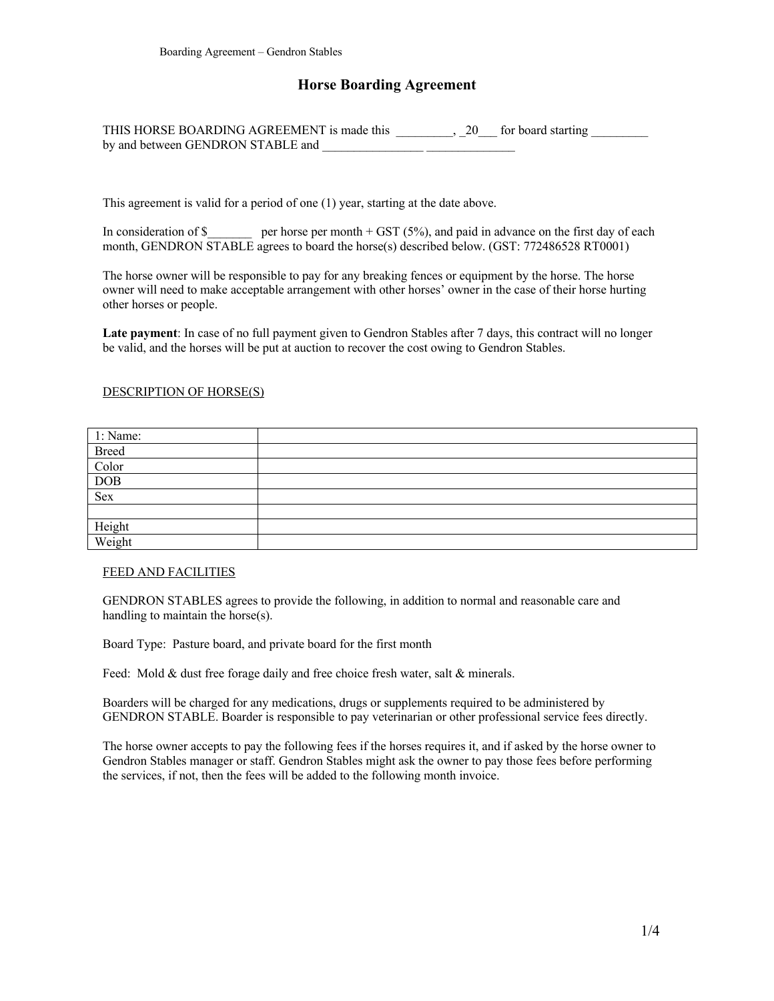# **Horse Boarding Agreement**

| THIS HORSE BOARDING AGREEMENT is made this |  | 20 for board starting |
|--------------------------------------------|--|-----------------------|
| by and between GENDRON STABLE and          |  |                       |

This agreement is valid for a period of one (1) year, starting at the date above.

In consideration of \$ per horse per month + GST (5%), and paid in advance on the first day of each month, GENDRON STABLE agrees to board the horse(s) described below. (GST: 772486528 RT0001)

The horse owner will be responsible to pay for any breaking fences or equipment by the horse. The horse owner will need to make acceptable arrangement with other horses' owner in the case of their horse hurting other horses or people.

**Late payment**: In case of no full payment given to Gendron Stables after 7 days, this contract will no longer be valid, and the horses will be put at auction to recover the cost owing to Gendron Stables.

#### DESCRIPTION OF HORSE(S)

| 1: Name:                     |  |
|------------------------------|--|
|                              |  |
| Breed<br>Color<br>DOB<br>Sex |  |
|                              |  |
|                              |  |
|                              |  |
|                              |  |
| Height<br>Weight             |  |

#### FEED AND FACILITIES

GENDRON STABLES agrees to provide the following, in addition to normal and reasonable care and handling to maintain the horse(s).

Board Type: Pasture board, and private board for the first month

Feed: Mold & dust free forage daily and free choice fresh water, salt & minerals.

Boarders will be charged for any medications, drugs or supplements required to be administered by GENDRON STABLE. Boarder is responsible to pay veterinarian or other professional service fees directly.

The horse owner accepts to pay the following fees if the horses requires it, and if asked by the horse owner to Gendron Stables manager or staff. Gendron Stables might ask the owner to pay those fees before performing the services, if not, then the fees will be added to the following month invoice.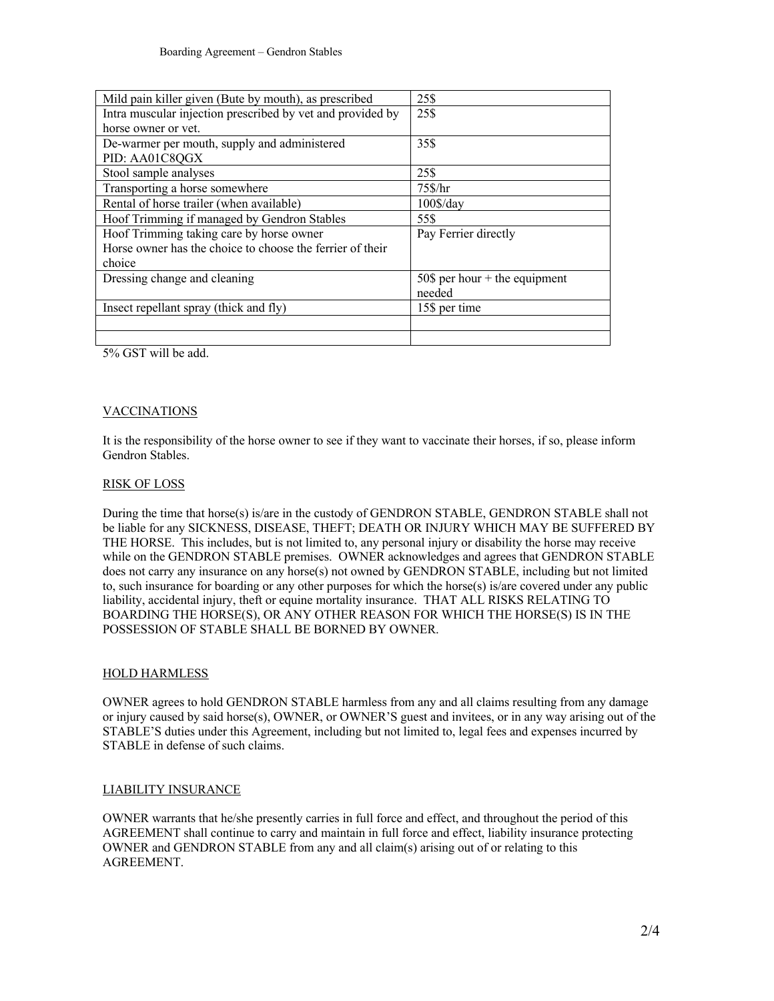| Mild pain killer given (Bute by mouth), as prescribed      | 25\$                            |
|------------------------------------------------------------|---------------------------------|
| Intra muscular injection prescribed by vet and provided by | 25\$                            |
| horse owner or yet.                                        |                                 |
| De-warmer per mouth, supply and administered               | 35\$                            |
| PID: AA01C8QGX                                             |                                 |
| Stool sample analyses                                      | 25\$                            |
| Transporting a horse somewhere                             | 75\$/hr                         |
| Rental of horse trailer (when available)                   | $100\$ /day                     |
| Hoof Trimming if managed by Gendron Stables                | 55\$                            |
| Hoof Trimming taking care by horse owner                   | Pay Ferrier directly            |
| Horse owner has the choice to choose the ferrier of their  |                                 |
| choice                                                     |                                 |
| Dressing change and cleaning                               | 50\$ per hour $+$ the equipment |
|                                                            | needed                          |
| Insect repellant spray (thick and fly)                     | 15\$ per time                   |
|                                                            |                                 |
|                                                            |                                 |

5% GST will be add.

### VACCINATIONS

It is the responsibility of the horse owner to see if they want to vaccinate their horses, if so, please inform Gendron Stables.

#### RISK OF LOSS

During the time that horse(s) is/are in the custody of GENDRON STABLE, GENDRON STABLE shall not be liable for any SICKNESS, DISEASE, THEFT; DEATH OR INJURY WHICH MAY BE SUFFERED BY THE HORSE. This includes, but is not limited to, any personal injury or disability the horse may receive while on the GENDRON STABLE premises. OWNER acknowledges and agrees that GENDRON STABLE does not carry any insurance on any horse(s) not owned by GENDRON STABLE, including but not limited to, such insurance for boarding or any other purposes for which the horse(s) is/are covered under any public liability, accidental injury, theft or equine mortality insurance. THAT ALL RISKS RELATING TO BOARDING THE HORSE(S), OR ANY OTHER REASON FOR WHICH THE HORSE(S) IS IN THE POSSESSION OF STABLE SHALL BE BORNED BY OWNER.

### HOLD HARMLESS

OWNER agrees to hold GENDRON STABLE harmless from any and all claims resulting from any damage or injury caused by said horse(s), OWNER, or OWNER'S guest and invitees, or in any way arising out of the STABLE'S duties under this Agreement, including but not limited to, legal fees and expenses incurred by STABLE in defense of such claims.

### LIABILITY INSURANCE

OWNER warrants that he/she presently carries in full force and effect, and throughout the period of this AGREEMENT shall continue to carry and maintain in full force and effect, liability insurance protecting OWNER and GENDRON STABLE from any and all claim(s) arising out of or relating to this AGREEMENT.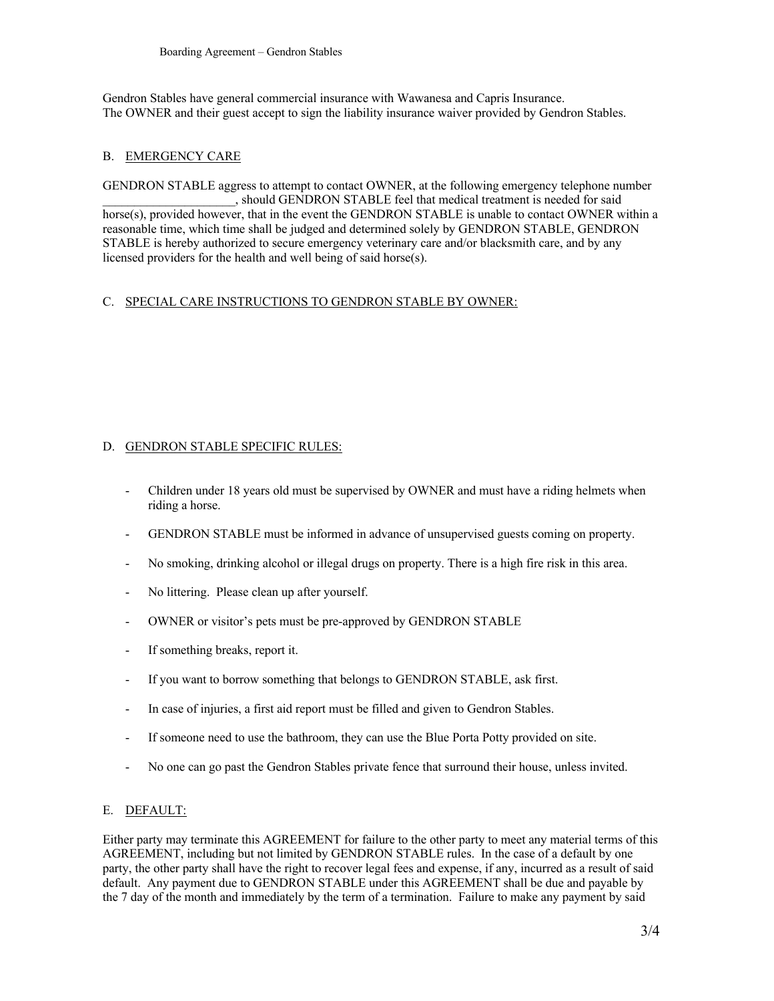Gendron Stables have general commercial insurance with Wawanesa and Capris Insurance. The OWNER and their guest accept to sign the liability insurance waiver provided by Gendron Stables.

## B. EMERGENCY CARE

GENDRON STABLE aggress to attempt to contact OWNER, at the following emergency telephone number \_\_\_\_\_\_\_\_\_\_\_\_\_\_\_\_\_\_\_\_\_, should GENDRON STABLE feel that medical treatment is needed for said horse(s), provided however, that in the event the GENDRON STABLE is unable to contact OWNER within a reasonable time, which time shall be judged and determined solely by GENDRON STABLE, GENDRON STABLE is hereby authorized to secure emergency veterinary care and/or blacksmith care, and by any licensed providers for the health and well being of said horse(s).

### C. SPECIAL CARE INSTRUCTIONS TO GENDRON STABLE BY OWNER:

# D. GENDRON STABLE SPECIFIC RULES:

- Children under 18 years old must be supervised by OWNER and must have a riding helmets when riding a horse.
- GENDRON STABLE must be informed in advance of unsupervised guests coming on property.
- No smoking, drinking alcohol or illegal drugs on property. There is a high fire risk in this area.
- No littering. Please clean up after yourself.
- OWNER or visitor's pets must be pre-approved by GENDRON STABLE
- If something breaks, report it.
- If you want to borrow something that belongs to GENDRON STABLE, ask first.
- In case of injuries, a first aid report must be filled and given to Gendron Stables.
- If someone need to use the bathroom, they can use the Blue Porta Potty provided on site.
- No one can go past the Gendron Stables private fence that surround their house, unless invited.

# E. DEFAULT:

Either party may terminate this AGREEMENT for failure to the other party to meet any material terms of this AGREEMENT, including but not limited by GENDRON STABLE rules. In the case of a default by one party, the other party shall have the right to recover legal fees and expense, if any, incurred as a result of said default. Any payment due to GENDRON STABLE under this AGREEMENT shall be due and payable by the 7 day of the month and immediately by the term of a termination. Failure to make any payment by said